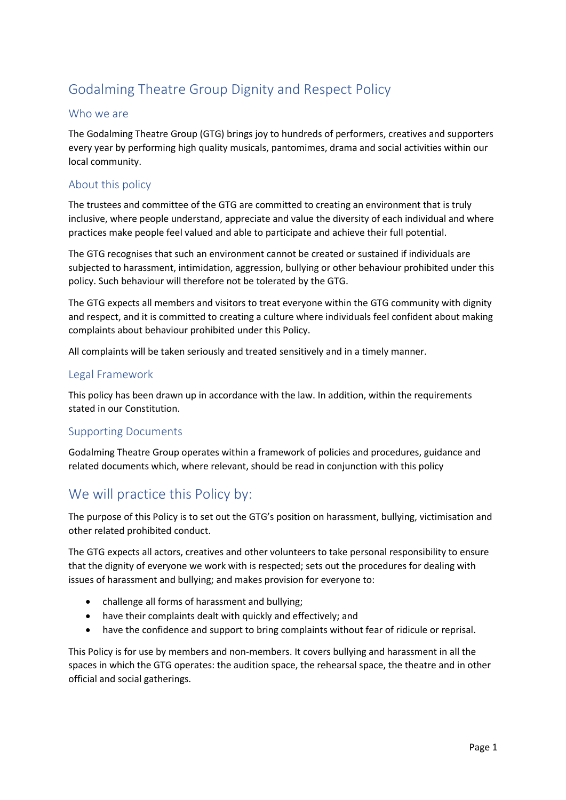# Godalming Theatre Group Dignity and Respect Policy

## Who we are

The Godalming Theatre Group (GTG) brings joy to hundreds of performers, creatives and supporters every year by performing high quality musicals, pantomimes, drama and social activities within our local community.

### About this policy

The trustees and committee of the GTG are committed to creating an environment that is truly inclusive, where people understand, appreciate and value the diversity of each individual and where practices make people feel valued and able to participate and achieve their full potential.

The GTG recognises that such an environment cannot be created or sustained if individuals are subjected to harassment, intimidation, aggression, bullying or other behaviour prohibited under this policy. Such behaviour will therefore not be tolerated by the GTG.

The GTG expects all members and visitors to treat everyone within the GTG community with dignity and respect, and it is committed to creating a culture where individuals feel confident about making complaints about behaviour prohibited under this Policy.

All complaints will be taken seriously and treated sensitively and in a timely manner.

### Legal Framework

This policy has been drawn up in accordance with the law. In addition, within the requirements stated in our Constitution.

### Supporting Documents

Godalming Theatre Group operates within a framework of policies and procedures, guidance and related documents which, where relevant, should be read in conjunction with this policy

## We will practice this Policy by:

The purpose of this Policy is to set out the GTG's position on harassment, bullying, victimisation and other related prohibited conduct.

The GTG expects all actors, creatives and other volunteers to take personal responsibility to ensure that the dignity of everyone we work with is respected; sets out the procedures for dealing with issues of harassment and bullying; and makes provision for everyone to:

- challenge all forms of harassment and bullying;
- have their complaints dealt with quickly and effectively; and
- have the confidence and support to bring complaints without fear of ridicule or reprisal.

This Policy is for use by members and non-members. It covers bullying and harassment in all the spaces in which the GTG operates: the audition space, the rehearsal space, the theatre and in other official and social gatherings.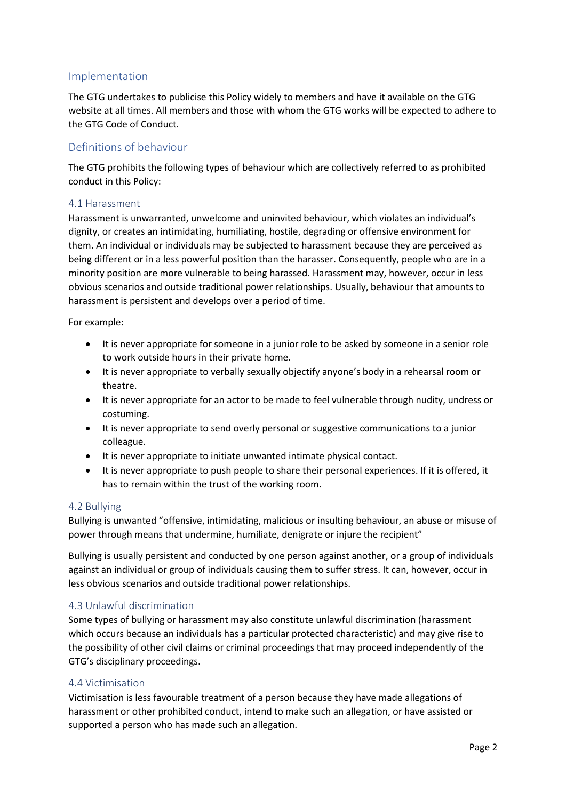### Implementation

The GTG undertakes to publicise this Policy widely to members and have it available on the GTG website at all times. All members and those with whom the GTG works will be expected to adhere to the GTG Code of Conduct.

### Definitions of behaviour

The GTG prohibits the following types of behaviour which are collectively referred to as prohibited conduct in this Policy:

### 4.1 Harassment

Harassment is unwarranted, unwelcome and uninvited behaviour, which violates an individual's dignity, or creates an intimidating, humiliating, hostile, degrading or offensive environment for them. An individual or individuals may be subjected to harassment because they are perceived as being different or in a less powerful position than the harasser. Consequently, people who are in a minority position are more vulnerable to being harassed. Harassment may, however, occur in less obvious scenarios and outside traditional power relationships. Usually, behaviour that amounts to harassment is persistent and develops over a period of time.

For example:

- It is never appropriate for someone in a junior role to be asked by someone in a senior role to work outside hours in their private home.
- It is never appropriate to verbally sexually objectify anyone's body in a rehearsal room or theatre.
- It is never appropriate for an actor to be made to feel vulnerable through nudity, undress or costuming.
- It is never appropriate to send overly personal or suggestive communications to a junior colleague.
- It is never appropriate to initiate unwanted intimate physical contact.
- It is never appropriate to push people to share their personal experiences. If it is offered, it has to remain within the trust of the working room.

### 4.2 Bullying

Bullying is unwanted "offensive, intimidating, malicious or insulting behaviour, an abuse or misuse of power through means that undermine, humiliate, denigrate or injure the recipient"

Bullying is usually persistent and conducted by one person against another, or a group of individuals against an individual or group of individuals causing them to suffer stress. It can, however, occur in less obvious scenarios and outside traditional power relationships.

### 4.3 Unlawful discrimination

Some types of bullying or harassment may also constitute unlawful discrimination (harassment which occurs because an individuals has a particular protected characteristic) and may give rise to the possibility of other civil claims or criminal proceedings that may proceed independently of the GTG's disciplinary proceedings.

### 4.4 Victimisation

Victimisation is less favourable treatment of a person because they have made allegations of harassment or other prohibited conduct, intend to make such an allegation, or have assisted or supported a person who has made such an allegation.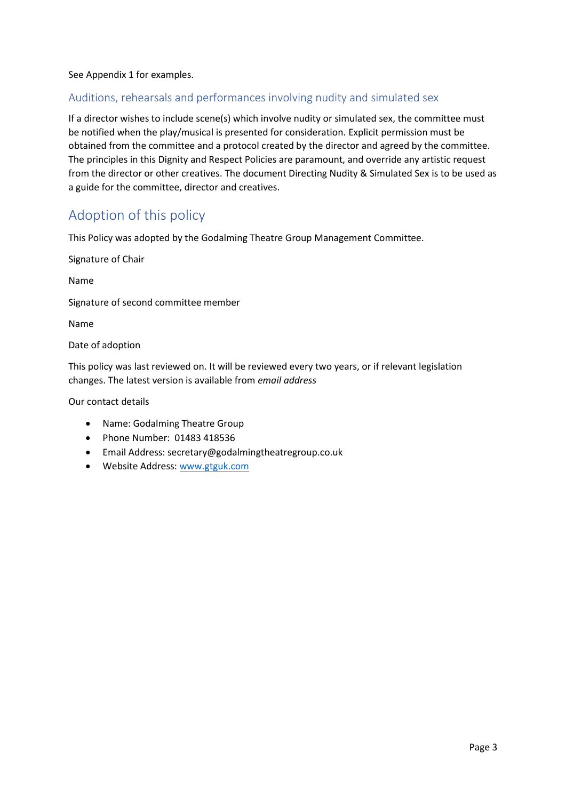See Appendix 1 for examples.

## Auditions, rehearsals and performances involving nudity and simulated sex

If a director wishes to include scene(s) which involve nudity or simulated sex, the committee must be notified when the play/musical is presented for consideration. Explicit permission must be obtained from the committee and a protocol created by the director and agreed by the committee. The principles in this Dignity and Respect Policies are paramount, and override any artistic request from the director or other creatives. The document Directing Nudity & Simulated Sex is to be used as a guide for the committee, director and creatives.

## Adoption of this policy

This Policy was adopted by the Godalming Theatre Group Management Committee.

Signature of Chair

Name

Signature of second committee member

Name

Date of adoption

This policy was last reviewed on. It will be reviewed every two years, or if relevant legislation changes. The latest version is available from *email address*

Our contact details

- Name: Godalming Theatre Group
- Phone Number: 01483 418536
- Email Address: secretary@godalmingtheatregroup.co.uk
- Website Address: [www.gtguk.com](http://www.gtguk.com/)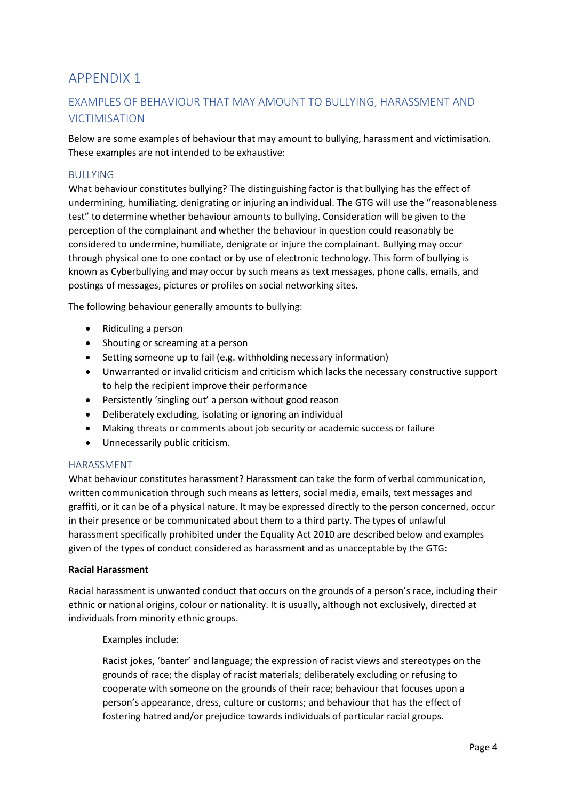## APPENDIX 1

## EXAMPLES OF BEHAVIOUR THAT MAY AMOUNT TO BULLYING, HARASSMENT AND VICTIMISATION

Below are some examples of behaviour that may amount to bullying, harassment and victimisation. These examples are not intended to be exhaustive:

### **BULLYING**

What behaviour constitutes bullying? The distinguishing factor is that bullying has the effect of undermining, humiliating, denigrating or injuring an individual. The GTG will use the "reasonableness test" to determine whether behaviour amounts to bullying. Consideration will be given to the perception of the complainant and whether the behaviour in question could reasonably be considered to undermine, humiliate, denigrate or injure the complainant. Bullying may occur through physical one to one contact or by use of electronic technology. This form of bullying is known as Cyberbullying and may occur by such means as text messages, phone calls, emails, and postings of messages, pictures or profiles on social networking sites.

The following behaviour generally amounts to bullying:

- Ridiculing a person
- Shouting or screaming at a person
- Setting someone up to fail (e.g. withholding necessary information)
- Unwarranted or invalid criticism and criticism which lacks the necessary constructive support to help the recipient improve their performance
- Persistently 'singling out' a person without good reason
- Deliberately excluding, isolating or ignoring an individual
- Making threats or comments about job security or academic success or failure
- Unnecessarily public criticism.

### HARASSMENT

What behaviour constitutes harassment? Harassment can take the form of verbal communication, written communication through such means as letters, social media, emails, text messages and graffiti, or it can be of a physical nature. It may be expressed directly to the person concerned, occur in their presence or be communicated about them to a third party. The types of unlawful harassment specifically prohibited under the Equality Act 2010 are described below and examples given of the types of conduct considered as harassment and as unacceptable by the GTG:

### **Racial Harassment**

Racial harassment is unwanted conduct that occurs on the grounds of a person's race, including their ethnic or national origins, colour or nationality. It is usually, although not exclusively, directed at individuals from minority ethnic groups.

Examples include:

Racist jokes, 'banter' and language; the expression of racist views and stereotypes on the grounds of race; the display of racist materials; deliberately excluding or refusing to cooperate with someone on the grounds of their race; behaviour that focuses upon a person's appearance, dress, culture or customs; and behaviour that has the effect of fostering hatred and/or prejudice towards individuals of particular racial groups.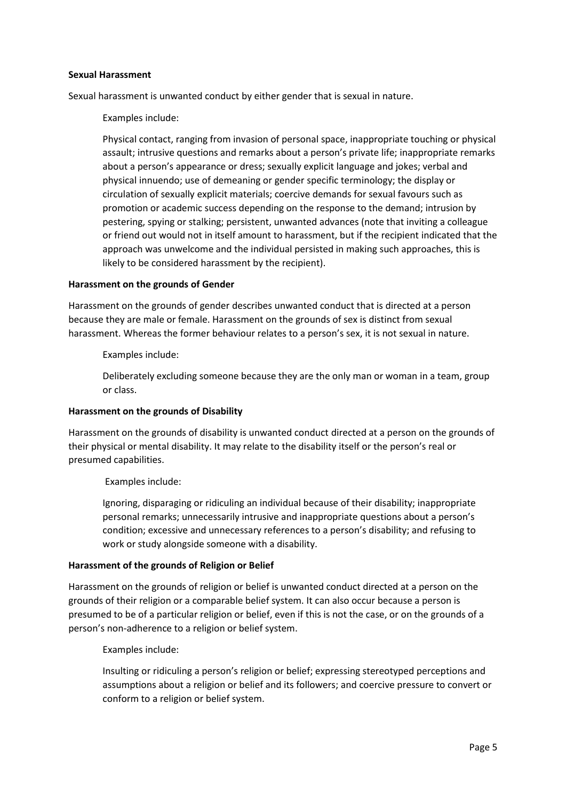#### **Sexual Harassment**

Sexual harassment is unwanted conduct by either gender that is sexual in nature.

Examples include:

Physical contact, ranging from invasion of personal space, inappropriate touching or physical assault; intrusive questions and remarks about a person's private life; inappropriate remarks about a person's appearance or dress; sexually explicit language and jokes; verbal and physical innuendo; use of demeaning or gender specific terminology; the display or circulation of sexually explicit materials; coercive demands for sexual favours such as promotion or academic success depending on the response to the demand; intrusion by pestering, spying or stalking; persistent, unwanted advances (note that inviting a colleague or friend out would not in itself amount to harassment, but if the recipient indicated that the approach was unwelcome and the individual persisted in making such approaches, this is likely to be considered harassment by the recipient).

#### **Harassment on the grounds of Gender**

Harassment on the grounds of gender describes unwanted conduct that is directed at a person because they are male or female. Harassment on the grounds of sex is distinct from sexual harassment. Whereas the former behaviour relates to a person's sex, it is not sexual in nature.

Examples include:

Deliberately excluding someone because they are the only man or woman in a team, group or class.

### **Harassment on the grounds of Disability**

Harassment on the grounds of disability is unwanted conduct directed at a person on the grounds of their physical or mental disability. It may relate to the disability itself or the person's real or presumed capabilities.

Examples include:

Ignoring, disparaging or ridiculing an individual because of their disability; inappropriate personal remarks; unnecessarily intrusive and inappropriate questions about a person's condition; excessive and unnecessary references to a person's disability; and refusing to work or study alongside someone with a disability.

### **Harassment of the grounds of Religion or Belief**

Harassment on the grounds of religion or belief is unwanted conduct directed at a person on the grounds of their religion or a comparable belief system. It can also occur because a person is presumed to be of a particular religion or belief, even if this is not the case, or on the grounds of a person's non-adherence to a religion or belief system.

Examples include:

Insulting or ridiculing a person's religion or belief; expressing stereotyped perceptions and assumptions about a religion or belief and its followers; and coercive pressure to convert or conform to a religion or belief system.